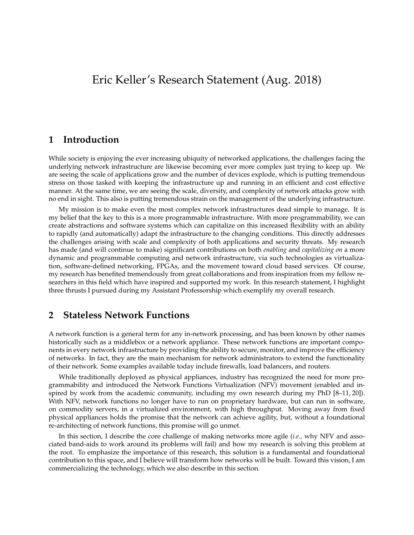# Eric Keller's Research Statement (Aug. 2018)

## **1 Introduction**

While society is enjoying the ever increasing ubiquity of networked applications, the challenges facing the underlying network infrastructure are likewise becoming ever more complex just trying to keep up. We are seeing the scale of applications grow and the number of devices explode, which is putting tremendous stress on those tasked with keeping the infrastructure up and running in an efficient and cost effective manner. At the same time, we are seeing the scale, diversity, and complexity of network attacks grow with no end in sight. This also is putting tremendous strain on the management of the underlying infrastructure.

My mission is to make even the most complex network infrastructures dead simple to manage. It is my belief that the key to this is a more programmable infrastructure. With more programmability, we can create abstractions and software systems which can capitalize on this increased flexibility with an ability to rapidly (and automatically) adapt the infrastructure to the changing conditions. This directly addresses the challenges arising with scale and complexity of both applications and security threats. My research has made (and will continue to make) significant contributions on both *enabling* and *capitalizing on* a more dynamic and programmable computing and network infrastructure, via such technologies as virtualization, software-defined networking, FPGAs, and the movement toward cloud based services. Of course, my research has benefited tremendously from great collaborations and from inspiration from my fellow researchers in this field which have inspired and supported my work. In this research statement, I highlight three thrusts I pursued during my Assistant Professorship which exemplify my overall research.

## **2 Stateless Network Functions**

A network function is a general term for any in-network processing, and has been known by other names historically such as a middlebox or a network appliance. These network functions are important components in every network infrastructure by providing the ability to secure, monitor, and improve the efficiency of networks. In fact, they are the main mechanism for network administrators to extend the functionality of their network. Some examples available today include firewalls, load balancers, and routers.

While traditionally deployed as physical appliances, industry has recognized the need for more programmability and introduced the Network Functions Virtualization (NFV) movement (enabled and inspired by work from the academic community, including my own research during my PhD [8–11, 20]). With NFV, network functions no longer have to run on proprietary hardware, but can run in software, on commodity servers, in a virtualized environment, with high throughput. Moving away from fixed physical appliances holds the promise that the network can achieve agility, but, without a foundational re-architecting of network functions, this promise will go unmet.

In this section, I describe the core challenge of making networks more agile (*i.e.,* why NFV and associated band-aids to work around its problems will fail) and how my research is solving this problem at the root. To emphasize the importance of this research, this solution is a fundamental and foundational contribution to this space, and I believe will transform how networks will be built. Toward this vision, I am commercializing the technology, which we also describe in this section.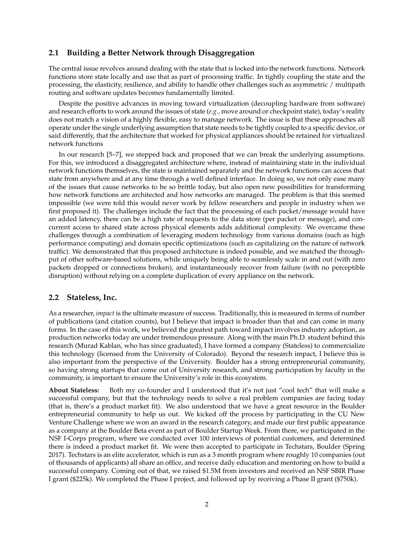## **2.1 Building a Better Network through Disaggregation**

The central issue revolves around dealing with the state that is locked into the network functions. Network functions store state locally and use that as part of processing traffic. In tightly coupling the state and the processing, the elasticity, resilience, and ability to handle other challenges such as asymmetric / multipath routing and software updates becomes fundamentally limited.

Despite the positive advances in moving toward virtualization (decoupling hardware from software) and research efforts to work around the issues of state (*e.g.,* move around or checkpoint state), today's reality does not match a vision of a highly flexible, easy to manage network. The issue is that these approaches all operate under the single underlying assumption that state needs to be tightly coupled to a specific device, or said differently, that the architecture that worked for physical appliances should be retained for virtualized network functions

In our research [5–7], we stepped back and proposed that we can break the underlying assumptions. For this, we introduced a disaggregated architecture where, instead of maintaining state in the individual network functions themselves, the state is maintained separately and the network functions can access that state from anywhere and at any time through a well defined interface. In doing so, we not only ease many of the issues that cause networks to be so brittle today, but also open new possibilities for transforming how network functions are architected and how networks are managed. The problem is that this seemed impossible (we were told this would never work by fellow researchers and people in industry when we first proposed it). The challenges include the fact that the processing of each packet/message would have an added latency, there can be a high rate of requests to the data store (per packet or message), and concurrent access to shared state across physical elements adds additional complexity. We overcame these challenges through a combination of leveraging modern technology from various domains (such as high performance computing) and domain specific optimizations (such as capitalizing on the nature of network traffic). We demonstrated that this proposed architecture is indeed possible, and we matched the throughput of other software-based solutions, while uniquely being able to seamlessly scale in and out (with zero packets dropped or connections broken), and instantaneously recover from failure (with no perceptible disruption) without relying on a complete duplication of every appliance on the network.

## **2.2 Stateless, Inc.**

As a researcher, *impact* is the ultimate measure of success. Traditionally, this is measured in terms of number of publications (and citation counts), but I believe that impact is broader than that and can come in many forms. In the case of this work, we believed the greatest path toward impact involves industry adoption, as production networks today are under tremendous pressure. Along with the main Ph.D. student behind this research (Murad Kablan, who has since graduated), I have formed a company (Stateless) to commercialize this technology (licensed from the University of Colorado). Beyond the research impact, I believe this is also important from the perspective of the University. Boulder has a strong entrepreneurial community, so having strong startups that come out of University research, and strong participation by faculty in the community, is important to ensure the University's role in this ecosystem.

**About Stateless:** Both my co-founder and I understood that it's not just "cool tech" that will make a successful company, but that the technology needs to solve a real problem companies are facing today (that is, there's a product market fit). We also understood that we have a great resource in the Boulder entrepreneurial community to help us out. We kicked off the process by participating in the CU New Venture Challenge where we won an award in the research category, and made our first public appearance as a company at the Boulder Beta event as part of Boulder Startup Week. From there, we participated in the NSF I-Corps program, where we conducted over 100 interviews of potential customers, and determined there is indeed a product market fit. We were then accepted to participate in Techstars, Boulder (Spring 2017). Techstars is an elite accelerator, which is run as a 3 month program where roughly 10 companies (out of thousands of applicants) all share an office, and receive daily education and mentoring on how to build a successful company. Coming out of that, we raised \$1.5M from investors and received an NSF SBIR Phase I grant (\$225k). We completed the Phase I project, and followed up by receiving a Phase II grant (\$750k).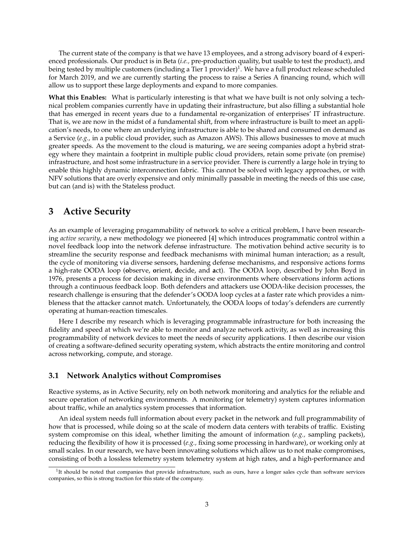The current state of the company is that we have 13 employees, and a strong advisory board of 4 experienced professionals. Our product is in Beta (*i.e.,* pre-production quality, but usable to test the product), and being tested by multiple customers (including a Tier 1 provider) $^1$ . We have a full product release scheduled for March 2019, and we are currently starting the process to raise a Series A financing round, which will allow us to support these large deployments and expand to more companies.

**What this Enables:** What is particularly interesting is that what we have built is not only solving a technical problem companies currently have in updating their infrastructure, but also filling a substantial hole that has emerged in recent years due to a fundamental re-organization of enterprises' IT infrastructure. That is, we are now in the midst of a fundamental shift, from where infrastructure is built to meet an application's needs, to one where an underlying infrastructure is able to be shared and consumed on demand as a Service (*e.g.,* in a public cloud provider, such as Amazon AWS). This allows businesses to move at much greater speeds. As the movement to the cloud is maturing, we are seeing companies adopt a hybrid strategy where they maintain a footprint in multiple public cloud providers, retain some private (on premise) infrastructure, and host some infrastructure in a service provider. There is currently a large hole in trying to enable this highly dynamic interconnection fabric. This cannot be solved with legacy approaches, or with NFV solutions that are overly expensive and only minimally passable in meeting the needs of this use case, but can (and is) with the Stateless product.

## **3 Active Security**

As an example of leveraging progammability of network to solve a critical problem, I have been researching *active security*, a new methodology we pioneered [4] which introduces programmatic control within a novel feedback loop into the network defense infrastructure. The motivation behind active security is to streamline the security response and feedback mechanisms with minimal human interaction; as a result, the cycle of monitoring via diverse sensors, hardening defense mechanisms, and responsive actions forms a high-rate OODA loop (**o**bserve, **o**rient, **d**ecide, and **a**ct). The OODA loop, described by John Boyd in 1976, presents a process for decision making in diverse environments where observations inform actions through a continuous feedback loop. Both defenders and attackers use OODA-like decision processes, the research challenge is ensuring that the defender's OODA loop cycles at a faster rate which provides a nimbleness that the attacker cannot match. Unfortunately, the OODA loops of today's defenders are currently operating at human-reaction timescales.

Here I describe my research which is leveraging programmable infrastructure for both increasing the fidelity and speed at which we're able to monitor and analyze network activity, as well as increasing this programmability of network devices to meet the needs of security applications. I then describe our vision of creating a software-defined security operating system, which abstracts the entire monitoring and control across networking, compute, and storage.

## **3.1 Network Analytics without Compromises**

Reactive systems, as in Active Security, rely on both network monitoring and analytics for the reliable and secure operation of networking environments. A monitoring (or telemetry) system captures information about traffic, while an analytics system processes that information.

An ideal system needs full information about every packet in the network and full programmability of how that is processed, while doing so at the scale of modern data centers with terabits of traffic. Existing system compromise on this ideal, whether limiting the amount of information (*e.g.,* sampling packets), reducing the flexibility of how it is processed (*e.g.,* fixing some processing in hardware), or working only at small scales. In our research, we have been innovating solutions which allow us to not make compromises, consisting of both a lossless telemetry system telemetry system at high rates, and a high-performance and

<sup>&</sup>lt;sup>1</sup>It should be noted that companies that provide infrastructure, such as ours, have a longer sales cycle than software services companies, so this is strong traction for this state of the company.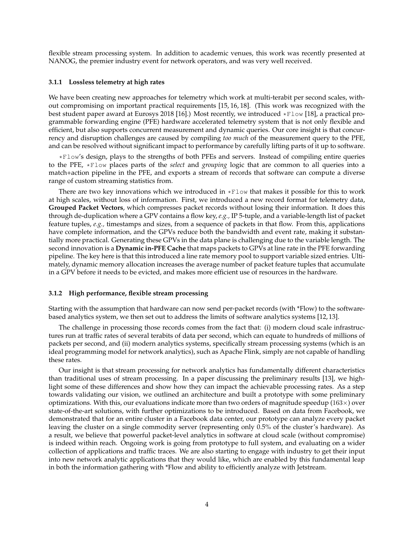flexible stream processing system. In addition to academic venues, this work was recently presented at NANOG, the premier industry event for network operators, and was very well received.

#### **3.1.1 Lossless telemetry at high rates**

We have been creating new approaches for telemetry which work at multi-terabit per second scales, without compromising on important practical requirements [15, 16, 18]. (This work was recognized with the best student paper award at Eurosys 2018 [16].) Most recently, we introduced  $\star$ Flow [18], a practical programmable forwarding engine (PFE) hardware accelerated telemetry system that is not only flexible and efficient, but also supports concurrent measurement and dynamic queries. Our core insight is that concurrency and disruption challenges are caused by compiling *too much* of the measurement query to the PFE, and can be resolved without significant impact to performance by carefully lifting parts of it up to software.

\*Flow's design, plays to the strengths of both PFEs and servers. Instead of compiling entire queries to the PFE, \*Flow places parts of the *select* and *grouping* logic that are common to all queries into a match+action pipeline in the PFE, and exports a stream of records that software can compute a diverse range of custom streaming statistics from.

There are two key innovations which we introduced in  $*$ Flow that makes it possible for this to work at high scales, without loss of information. First, we introduced a new record format for telemetry data, **Grouped Packet Vectors**, which compresses packet records without losing their information. It does this through de-duplication where a GPV contains a flow key, *e.g.,* IP 5-tuple, and a variable-length list of packet feature tuples, *e.g.,* timestamps and sizes, from a sequence of packets in that flow. From this, applications have complete information, and the GPVs reduce both the bandwidth and event rate, making it substantially more practical. Generating these GPVs in the data plane is challenging due to the variable length. The second innovation is a **Dynamic in-PFE Cache** that maps packets to GPVs at line rate in the PFE forwarding pipeline. The key here is that this introduced a line rate memory pool to support variable sized entries. Ultimately, dynamic memory allocation increases the average number of packet feature tuples that accumulate in a GPV before it needs to be evicted, and makes more efficient use of resources in the hardware.

#### **3.1.2 High performance, flexible stream processing**

Starting with the assumption that hardware can now send per-packet records (with \*Flow) to the softwarebased analytics system, we then set out to address the limits of software analytics systems [12, 13].

The challenge in processing those records comes from the fact that: (i) modern cloud scale infrastructures run at traffic rates of several terabits of data per second, which can equate to hundreds of millions of packets per second, and (ii) modern analytics systems, specifically stream processing systems (which is an ideal programming model for network analytics), such as Apache Flink, simply are not capable of handling these rates.

Our insight is that stream processing for network analytics has fundamentally different characteristics than traditional uses of stream processing. In a paper discussing the preliminary results [13], we highlight some of these differences and show how they can impact the achievable processing rates. As a step towards validating our vision, we outlined an architecture and built a prototype with some preliminary optimizations. With this, our evaluations indicate more than two orders of magnitude speedup (163 $\times$ ) over state-of-the-art solutions, with further optimizations to be introduced. Based on data from Facebook, we demonstrated that for an entire cluster in a Facebook data center, our prototype can analyze every packet leaving the cluster on a single commodity server (representing only 0.5% of the cluster's hardware). As a result, we believe that powerful packet-level analytics in software at cloud scale (without compromise) is indeed within reach. Ongoing work is going from prototype to full system, and evaluating on a wider collection of applications and traffic traces. We are also starting to engage with industry to get their input into new network analytic applications that they would like, which are enabled by this fundamental leap in both the information gathering with \*Flow and ability to efficiently analyze with Jetstream.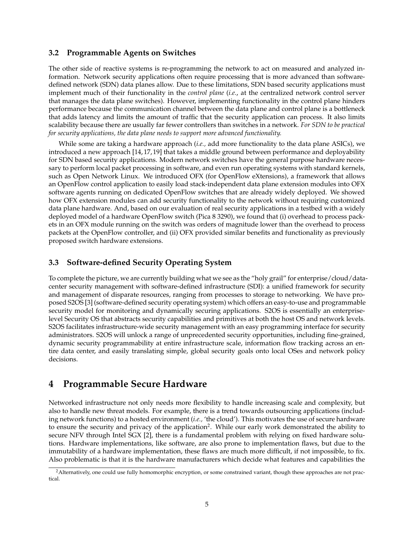### **3.2 Programmable Agents on Switches**

The other side of reactive systems is re-programming the network to act on measured and analyzed information. Network security applications often require processing that is more advanced than softwaredefined network (SDN) data planes allow. Due to these limitations, SDN based security applications must implement much of their functionality in the *control plane* (*i.e.*, at the centralized network control server that manages the data plane switches). However, implementing functionality in the control plane hinders performance because the communication channel between the data plane and control plane is a bottleneck that adds latency and limits the amount of traffic that the security application can process. It also limits scalability because there are usually far fewer controllers than switches in a network. *For SDN to be practical for security applications, the data plane needs to support more advanced functionality.*

While some are taking a hardware approach (*i.e.,* add more functionality to the data plane ASICs), we introduced a new approach [14, 17, 19] that takes a middle ground between performance and deployability for SDN based security applications. Modern network switches have the general purpose hardware necessary to perform local packet processing in software, and even run operating systems with standard kernels, such as Open Network Linux. We introduced OFX (for OpenFlow eXtensions), a framework that allows an OpenFlow control application to easily load stack-independent data plane extension modules into OFX software agents running on dedicated OpenFlow switches that are already widely deployed. We showed how OFX extension modules can add security functionality to the network without requiring customized data plane hardware. And, based on our evaluation of real security applications in a testbed with a widely deployed model of a hardware OpenFlow switch (Pica 8 3290), we found that (i) overhead to process packets in an OFX module running on the switch was orders of magnitude lower than the overhead to process packets at the OpenFlow controller, and (ii) OFX provided similar benefits and functionality as previously proposed switch hardware extensions.

## **3.3 Software-defined Security Operating System**

To complete the picture, we are currently building what we see as the "holy grail" for enterprise/cloud/datacenter security management with software-defined infrastructure (SDI): a unified framework for security and management of disparate resources, ranging from processes to storage to networking. We have proposed S2OS [3] (software-defined security operating system) which offers an easy-to-use and programmable security model for monitoring and dynamically securing applications. S2OS is essentially an enterpriselevel Security OS that abstracts security capabilities and primitives at both the host OS and network levels. S2OS facilitates infrastructure-wide security management with an easy programming interface for security administrators. S2OS will unlock a range of unprecedented security opportunities, including fine-grained, dynamic security programmability at entire infrastructure scale, information flow tracking across an entire data center, and easily translating simple, global security goals onto local OSes and network policy decisions.

## **4 Programmable Secure Hardware**

Networked infrastructure not only needs more flexibility to handle increasing scale and complexity, but also to handle new threat models. For example, there is a trend towards outsourcing applications (including network functions) to a hosted environment (*i.e.,* 'the cloud'). This motivates the use of secure hardware to ensure the security and privacy of the application<sup>2</sup>. While our early work demonstrated the ability to secure NFV through Intel SGX [2], there is a fundamental problem with relying on fixed hardware solutions. Hardware implementations, like software, are also prone to implementation flaws, but due to the immutability of a hardware implementation, these flaws are much more difficult, if not impossible, to fix. Also problematic is that it is the hardware manufacturers which decide what features and capabilities the

<sup>&</sup>lt;sup>2</sup>Alternatively, one could use fully homomorphic encryption, or some constrained variant, though these approaches are not practical.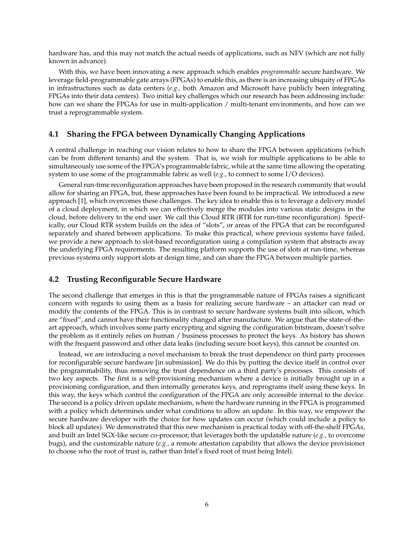hardware has, and this may not match the actual needs of applications, such as NFV (which are not fully known in advance).

With this, we have been innovating a new approach which enables *programmable* secure hardware. We leverage field-programmable gate arrays (FPGAs) to enable this, as there is an increasing ubiquity of FPGAs in infrastructures such as data centers (*e.g.,* both Amazon and Microsoft have publicly been integrating FPGAs into their data centers). Two initial key challenges which our research has been addressing include: how can we share the FPGAs for use in multi-application / multi-tenant environments, and how can we trust a reprogrammable system.

### **4.1 Sharing the FPGA between Dynamically Changing Applications**

A central challenge in reaching our vision relates to how to share the FPGA between applications (which can be from different tenants) and the system. That is, we wish for multiple applications to be able to simultaneously use some of the FPGA's programmable fabric, while at the same time allowing the operating system to use some of the programmable fabric as well (*e.g.,* to connect to some I/O devices).

General run-time reconfiguration approaches have been proposed in the research community that would allow for sharing an FPGA, but, these approaches have been found to be impractical. We introduced a new approach [1], which overcomes these challenges. The key idea to enable this is to leverage a delivery model of a cloud deployment, in which we can effectively merge the modules into various static designs in the cloud, before delivery to the end user. We call this Cloud RTR (RTR for run-time reconfiguration). Specifically, our Cloud RTR system builds on the idea of "slots", or areas of the FPGA that can be reconfigured separately and shared between applications. To make this practical, where previous systems have failed, we provide a new approach to slot-based reconfiguration using a compilation system that abstracts away the underlying FPGA requirements. The resulting platform supports the use of slots at run-time, whereas previous systems only support slots at design time, and can share the FPGA between multiple parties.

### **4.2 Trusting Reconfigurable Secure Hardware**

The second challenge that emerges in this is that the programmable nature of FPGAs raises a significant concern with regards to using them as a basis for realizing secure hardware – an attacker can read or modify the contents of the FPGA. This is in contrast to secure hardware systems built into silicon, which are "fixed", and cannot have their functionality changed after manufacture. We argue that the state-of-theart approach, which involves some party encrypting and signing the configuration bitstream, doesn't solve the problem as it entirely relies on human / business processes to protect the keys. As history has shown with the frequent password and other data leaks (including secure boot keys), this cannot be counted on.

Instead, we are introducing a novel mechanism to break the trust dependence on third party processes for reconfigurable secure hardware [in submission]. We do this by putting the device itself in control over the programmability, thus removing the trust dependence on a third party's processes. This consists of two key aspects. The first is a self-provisioning mechanism where a device is initially brought up in a provisioning configuration, and then internally generates keys, and reprograms itself using these keys. In this way, the keys which control the configuration of the FPGA are only accessible internal to the device. The second is a policy driven update mechanism, where the hardware running in the FPGA is programmed with a policy which determines under what conditions to allow an update. In this way, we empower the secure hardware developer with the choice for how updates can occur (which could include a policy to block all updates). We demonstrated that this new mechanism is practical today with off-the-shelf FPGAs, and built an Intel SGX-like secure co-processor, that leverages both the updatable nature (*e.g.,* to overcome bugs), and the customizable nature (*e.g.,* a remote attestation capability that allows the device provisioner to choose who the root of trust is, rather than Intel's fixed root of trust being Intel).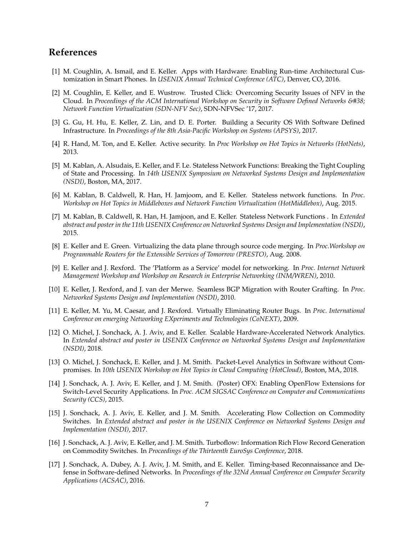## **References**

- [1] M. Coughlin, A. Ismail, and E. Keller. Apps with Hardware: Enabling Run-time Architectural Customization in Smart Phones. In *USENIX Annual Technical Conference (ATC)*, Denver, CO, 2016.
- [2] M. Coughlin, E. Keller, and E. Wustrow. Trusted Click: Overcoming Security Issues of NFV in the Cloud. In *Proceedings of the ACM International Workshop on Security in Software Defined Networks & Network Function Virtualization (SDN-NFV Sec)*, SDN-NFVSec '17, 2017.
- [3] G. Gu, H. Hu, E. Keller, Z. Lin, and D. E. Porter. Building a Security OS With Software Defined Infrastructure. In *Proceedings of the 8th Asia-Pacific Workshop on Systems (APSYS)*, 2017.
- [4] R. Hand, M. Ton, and E. Keller. Active security. In *Proc Workshop on Hot Topics in Networks (HotNets)*, 2013.
- [5] M. Kablan, A. Alsudais, E. Keller, and F. Le. Stateless Network Functions: Breaking the Tight Coupling of State and Processing. In *14th USENIX Symposium on Networked Systems Design and Implementation (NSDI)*, Boston, MA, 2017.
- [6] M. Kablan, B. Caldwell, R. Han, H. Jamjoom, and E. Keller. Stateless network functions. In *Proc. Workshop on Hot Topics in Middleboxes and Network Function Virtualization (HotMiddlebox)*, Aug. 2015.
- [7] M. Kablan, B. Caldwell, R. Han, H. Jamjoon, and E. Keller. Stateless Network Functions . In *Extended abstract and poster in the 11th USENIX Conference on Networked Systems Design and Implementation (NSDI)*, 2015.
- [8] E. Keller and E. Green. Virtualizing the data plane through source code merging. In *Proc.Workshop on Programmable Routers for the Extensible Services of Tomorrow (PRESTO)*, Aug. 2008.
- [9] E. Keller and J. Rexford. The 'Platform as a Service' model for networking. In *Proc. Internet Network Management Workshop and Workshop on Research in Enterprise Networking (INM/WREN)*, 2010.
- [10] E. Keller, J. Rexford, and J. van der Merwe. Seamless BGP Migration with Router Grafting. In *Proc. Networked Systems Design and Implementation (NSDI)*, 2010.
- [11] E. Keller, M. Yu, M. Caesar, and J. Rexford. Virtually Eliminating Router Bugs. In *Proc. International Conference on emerging Networking EXperiments and Technologies (CoNEXT)*, 2009.
- [12] O. Michel, J. Sonchack, A. J. Aviv, and E. Keller. Scalable Hardware-Accelerated Network Analytics. In *Extended abstract and poster in USENIX Conference on Networked Systems Design and Implementation (NSDI)*, 2018.
- [13] O. Michel, J. Sonchack, E. Keller, and J. M. Smith. Packet-Level Analytics in Software without Compromises. In *10th USENIX Workshop on Hot Topics in Cloud Computing (HotCloud)*, Boston, MA, 2018.
- [14] J. Sonchack, A. J. Aviv, E. Keller, and J. M. Smith. (Poster) OFX: Enabling OpenFlow Extensions for Switch-Level Security Applications. In *Proc. ACM SIGSAC Conference on Computer and Communications Security (CCS)*, 2015.
- [15] J. Sonchack, A. J. Aviv, E. Keller, and J. M. Smith. Accelerating Flow Collection on Commodity Switches. In *Extended abstract and poster in the USENIX Conference on Networked Systems Design and Implementation (NSDI)*, 2017.
- [16] J. Sonchack, A. J. Aviv, E. Keller, and J. M. Smith. Turboflow: Information Rich Flow Record Generation on Commodity Switches. In *Proceedings of the Thirteenth EuroSys Conference*, 2018.
- [17] J. Sonchack, A. Dubey, A. J. Aviv, J. M. Smith, and E. Keller. Timing-based Reconnaissance and Defense in Software-defined Networks. In *Proceedings of the 32Nd Annual Conference on Computer Security Applications (ACSAC)*, 2016.